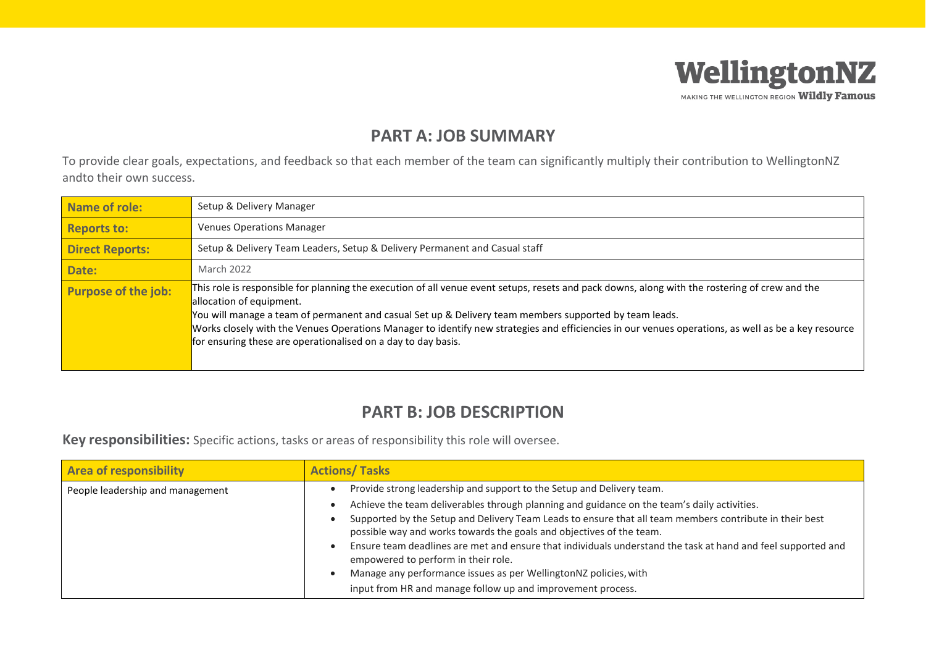

## **PART A: JOB SUMMARY**

To provide clear goals, expectations, and feedback so that each member of the team can significantly multiply their contribution to WellingtonNZ andto their own success.

| <b>Name of role:</b>       | Setup & Delivery Manager                                                                                                                                                                                                                                                                                                                                                                                                                                                                                     |
|----------------------------|--------------------------------------------------------------------------------------------------------------------------------------------------------------------------------------------------------------------------------------------------------------------------------------------------------------------------------------------------------------------------------------------------------------------------------------------------------------------------------------------------------------|
| <b>Reports to:</b>         | <b>Venues Operations Manager</b>                                                                                                                                                                                                                                                                                                                                                                                                                                                                             |
| <b>Direct Reports:</b>     | Setup & Delivery Team Leaders, Setup & Delivery Permanent and Casual staff                                                                                                                                                                                                                                                                                                                                                                                                                                   |
| Date:                      | March 2022                                                                                                                                                                                                                                                                                                                                                                                                                                                                                                   |
| <b>Purpose of the job:</b> | This role is responsible for planning the execution of all venue event setups, resets and pack downs, along with the rostering of crew and the<br>allocation of equipment.<br>You will manage a team of permanent and casual Set up & Delivery team members supported by team leads.<br>Works closely with the Venues Operations Manager to identify new strategies and efficiencies in our venues operations, as well as be a key resource<br>for ensuring these are operationalised on a day to day basis. |

## **PART B: JOB DESCRIPTION**

**Key responsibilities:** Specific actions, tasks or areas of responsibility this role will oversee.

| <b>Area of responsibility</b>    | <b>Actions/Tasks</b>                                                                                                                                                                                                                                                                                                                                                                                                                                                                                                                                                                                                                              |  |  |
|----------------------------------|---------------------------------------------------------------------------------------------------------------------------------------------------------------------------------------------------------------------------------------------------------------------------------------------------------------------------------------------------------------------------------------------------------------------------------------------------------------------------------------------------------------------------------------------------------------------------------------------------------------------------------------------------|--|--|
| People leadership and management | Provide strong leadership and support to the Setup and Delivery team.<br>Achieve the team deliverables through planning and guidance on the team's daily activities.<br>Supported by the Setup and Delivery Team Leads to ensure that all team members contribute in their best<br>possible way and works towards the goals and objectives of the team.<br>Ensure team deadlines are met and ensure that individuals understand the task at hand and feel supported and<br>empowered to perform in their role.<br>Manage any performance issues as per WellingtonNZ policies, with<br>input from HR and manage follow up and improvement process. |  |  |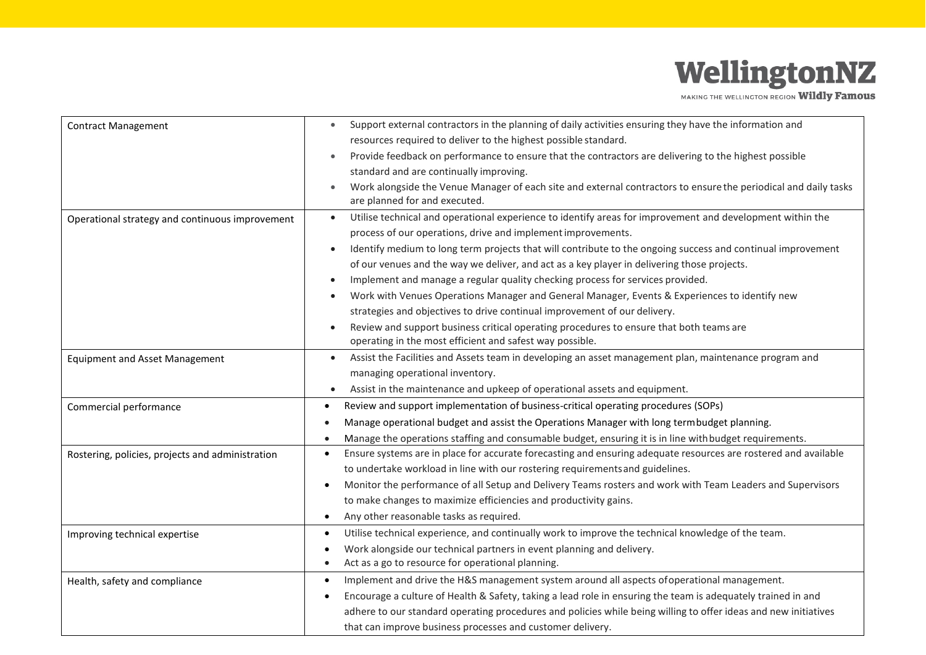## WellingtonNZ

MAKING THE WELLINGTON REGION Wildly Famous

| <b>Contract Management</b>                       | Support external contractors in the planning of daily activities ensuring they have the information and<br>$\bullet$         |  |  |
|--------------------------------------------------|------------------------------------------------------------------------------------------------------------------------------|--|--|
|                                                  | resources required to deliver to the highest possible standard.                                                              |  |  |
|                                                  | Provide feedback on performance to ensure that the contractors are delivering to the highest possible                        |  |  |
|                                                  | standard and are continually improving.                                                                                      |  |  |
|                                                  | Work alongside the Venue Manager of each site and external contractors to ensure the periodical and daily tasks<br>$\bullet$ |  |  |
|                                                  | are planned for and executed.                                                                                                |  |  |
| Operational strategy and continuous improvement  | Utilise technical and operational experience to identify areas for improvement and development within the<br>$\bullet$       |  |  |
|                                                  | process of our operations, drive and implement improvements.                                                                 |  |  |
|                                                  | Identify medium to long term projects that will contribute to the ongoing success and continual improvement<br>$\bullet$     |  |  |
|                                                  | of our venues and the way we deliver, and act as a key player in delivering those projects.                                  |  |  |
|                                                  | Implement and manage a regular quality checking process for services provided.                                               |  |  |
|                                                  | Work with Venues Operations Manager and General Manager, Events & Experiences to identify new                                |  |  |
|                                                  | strategies and objectives to drive continual improvement of our delivery.                                                    |  |  |
|                                                  | Review and support business critical operating procedures to ensure that both teams are<br>$\bullet$                         |  |  |
|                                                  | operating in the most efficient and safest way possible.                                                                     |  |  |
| <b>Equipment and Asset Management</b>            | Assist the Facilities and Assets team in developing an asset management plan, maintenance program and                        |  |  |
|                                                  | managing operational inventory.                                                                                              |  |  |
|                                                  | Assist in the maintenance and upkeep of operational assets and equipment.<br>$\bullet$                                       |  |  |
| Commercial performance                           | Review and support implementation of business-critical operating procedures (SOPs)<br>$\bullet$                              |  |  |
|                                                  | Manage operational budget and assist the Operations Manager with long term budget planning.                                  |  |  |
|                                                  | Manage the operations staffing and consumable budget, ensuring it is in line with budget requirements.<br>$\bullet$          |  |  |
| Rostering, policies, projects and administration | Ensure systems are in place for accurate forecasting and ensuring adequate resources are rostered and available<br>$\bullet$ |  |  |
|                                                  | to undertake workload in line with our rostering requirements and guidelines.                                                |  |  |
|                                                  | Monitor the performance of all Setup and Delivery Teams rosters and work with Team Leaders and Supervisors<br>$\bullet$      |  |  |
|                                                  | to make changes to maximize efficiencies and productivity gains.                                                             |  |  |
|                                                  | Any other reasonable tasks as required.<br>$\bullet$                                                                         |  |  |
| Improving technical expertise                    | Utilise technical experience, and continually work to improve the technical knowledge of the team.<br>$\bullet$              |  |  |
|                                                  | Work alongside our technical partners in event planning and delivery.<br>$\bullet$                                           |  |  |
|                                                  | Act as a go to resource for operational planning.<br>$\bullet$                                                               |  |  |
| Health, safety and compliance                    | Implement and drive the H&S management system around all aspects of operational management.<br>$\bullet$                     |  |  |
|                                                  | Encourage a culture of Health & Safety, taking a lead role in ensuring the team is adequately trained in and                 |  |  |
|                                                  | adhere to our standard operating procedures and policies while being willing to offer ideas and new initiatives              |  |  |
|                                                  | that can improve business processes and customer delivery.                                                                   |  |  |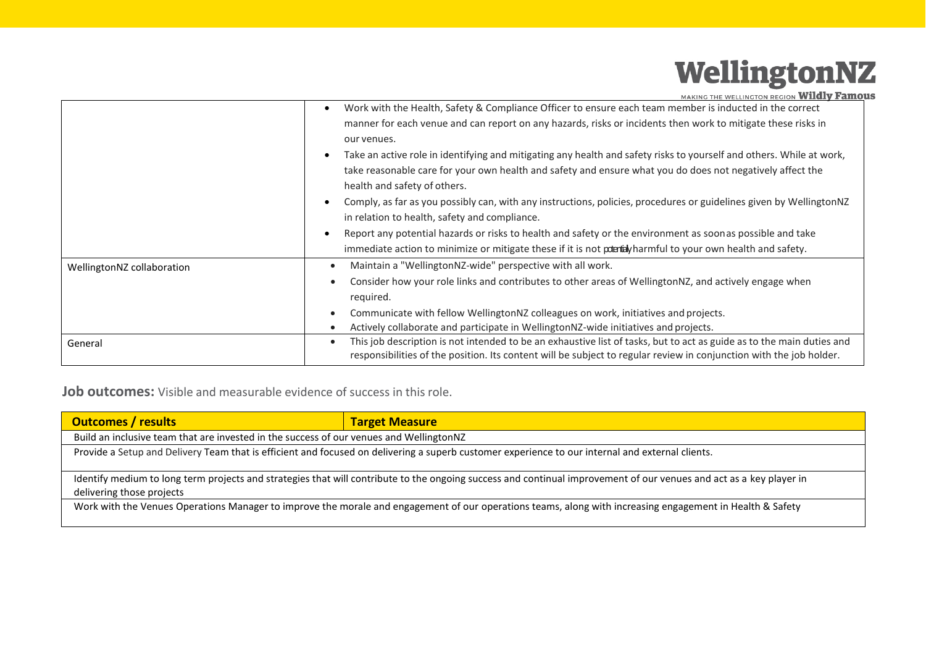## WellingtonNZ

MAKING THE WELLINGTON REGION Wildly Famous

|                            | Work with the Health, Safety & Compliance Officer to ensure each team member is inducted in the correct<br>manner for each venue and can report on any hazards, risks or incidents then work to mitigate these risks in<br>our venues.<br>Take an active role in identifying and mitigating any health and safety risks to yourself and others. While at work, |
|----------------------------|----------------------------------------------------------------------------------------------------------------------------------------------------------------------------------------------------------------------------------------------------------------------------------------------------------------------------------------------------------------|
|                            | take reasonable care for your own health and safety and ensure what you do does not negatively affect the<br>health and safety of others.                                                                                                                                                                                                                      |
|                            | Comply, as far as you possibly can, with any instructions, policies, procedures or guidelines given by WellingtonNZ<br>in relation to health, safety and compliance.                                                                                                                                                                                           |
|                            | Report any potential hazards or risks to health and safety or the environment as soonas possible and take<br>immediate action to minimize or mitigate these if it is not poentaly harmful to your own health and safety.                                                                                                                                       |
| WellingtonNZ collaboration | Maintain a "WellingtonNZ-wide" perspective with all work.<br>$\bullet$                                                                                                                                                                                                                                                                                         |
|                            | Consider how your role links and contributes to other areas of WellingtonNZ, and actively engage when<br>$\bullet$<br>required.                                                                                                                                                                                                                                |
|                            | Communicate with fellow WellingtonNZ colleagues on work, initiatives and projects.                                                                                                                                                                                                                                                                             |
|                            | Actively collaborate and participate in WellingtonNZ-wide initiatives and projects.<br>$\bullet$<br>This job description is not intended to be an exhaustive list of tasks, but to act as guide as to the main duties and<br>$\bullet$                                                                                                                         |
| General                    | responsibilities of the position. Its content will be subject to regular review in conjunction with the job holder.                                                                                                                                                                                                                                            |

**Job outcomes:** Visible and measurable evidence of success in this role.

| <b>Outcomes / results</b>                                                                                                                                                                        | <b>Target Measure</b> |  |  |  |  |
|--------------------------------------------------------------------------------------------------------------------------------------------------------------------------------------------------|-----------------------|--|--|--|--|
| Build an inclusive team that are invested in the success of our venues and WellingtonNZ                                                                                                          |                       |  |  |  |  |
| Provide a Setup and Delivery Team that is efficient and focused on delivering a superb customer experience to our internal and external clients.                                                 |                       |  |  |  |  |
| Identify medium to long term projects and strategies that will contribute to the ongoing success and continual improvement of our venues and act as a key player in<br>delivering those projects |                       |  |  |  |  |
| Work with the Venues Operations Manager to improve the morale and engagement of our operations teams, along with increasing engagement in Health & Safety                                        |                       |  |  |  |  |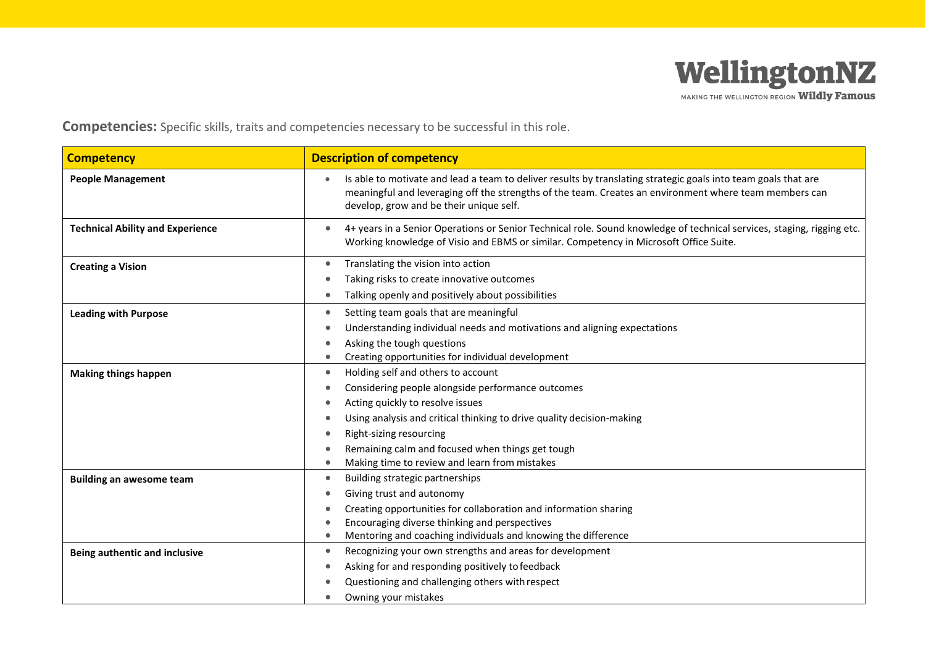

MAKING THE WELLINGTON REGION Wildly Famous

**Competencies:** Specific skills, traits and competencies necessary to be successful in this role.

| <b>Competency</b>                       | <b>Description of competency</b>                                                                                                                                                                                                                                    |  |  |
|-----------------------------------------|---------------------------------------------------------------------------------------------------------------------------------------------------------------------------------------------------------------------------------------------------------------------|--|--|
| <b>People Management</b>                | Is able to motivate and lead a team to deliver results by translating strategic goals into team goals that are<br>meaningful and leveraging off the strengths of the team. Creates an environment where team members can<br>develop, grow and be their unique self. |  |  |
| <b>Technical Ability and Experience</b> | 4+ years in a Senior Operations or Senior Technical role. Sound knowledge of technical services, staging, rigging etc.<br>Working knowledge of Visio and EBMS or similar. Competency in Microsoft Office Suite.                                                     |  |  |
| <b>Creating a Vision</b>                | Translating the vision into action<br>$\bullet$                                                                                                                                                                                                                     |  |  |
|                                         | Taking risks to create innovative outcomes                                                                                                                                                                                                                          |  |  |
|                                         | Talking openly and positively about possibilities<br>$\bullet$                                                                                                                                                                                                      |  |  |
| <b>Leading with Purpose</b>             | Setting team goals that are meaningful<br>$\bullet$                                                                                                                                                                                                                 |  |  |
|                                         | Understanding individual needs and motivations and aligning expectations                                                                                                                                                                                            |  |  |
|                                         | Asking the tough questions                                                                                                                                                                                                                                          |  |  |
|                                         | Creating opportunities for individual development<br>$\bullet$                                                                                                                                                                                                      |  |  |
| <b>Making things happen</b>             | Holding self and others to account<br>$\bullet$                                                                                                                                                                                                                     |  |  |
|                                         | Considering people alongside performance outcomes                                                                                                                                                                                                                   |  |  |
|                                         | Acting quickly to resolve issues                                                                                                                                                                                                                                    |  |  |
|                                         | Using analysis and critical thinking to drive quality decision-making<br>$\bullet$                                                                                                                                                                                  |  |  |
|                                         | Right-sizing resourcing                                                                                                                                                                                                                                             |  |  |
|                                         | Remaining calm and focused when things get tough                                                                                                                                                                                                                    |  |  |
|                                         | Making time to review and learn from mistakes                                                                                                                                                                                                                       |  |  |
| <b>Building an awesome team</b>         | Building strategic partnerships<br>$\bullet$                                                                                                                                                                                                                        |  |  |
|                                         | Giving trust and autonomy<br>$\bullet$                                                                                                                                                                                                                              |  |  |
|                                         | Creating opportunities for collaboration and information sharing                                                                                                                                                                                                    |  |  |
|                                         | Encouraging diverse thinking and perspectives                                                                                                                                                                                                                       |  |  |
|                                         | Mentoring and coaching individuals and knowing the difference                                                                                                                                                                                                       |  |  |
| Being authentic and inclusive           | Recognizing your own strengths and areas for development<br>٠                                                                                                                                                                                                       |  |  |
|                                         | Asking for and responding positively to feedback                                                                                                                                                                                                                    |  |  |
|                                         | Questioning and challenging others with respect                                                                                                                                                                                                                     |  |  |
|                                         | Owning your mistakes                                                                                                                                                                                                                                                |  |  |